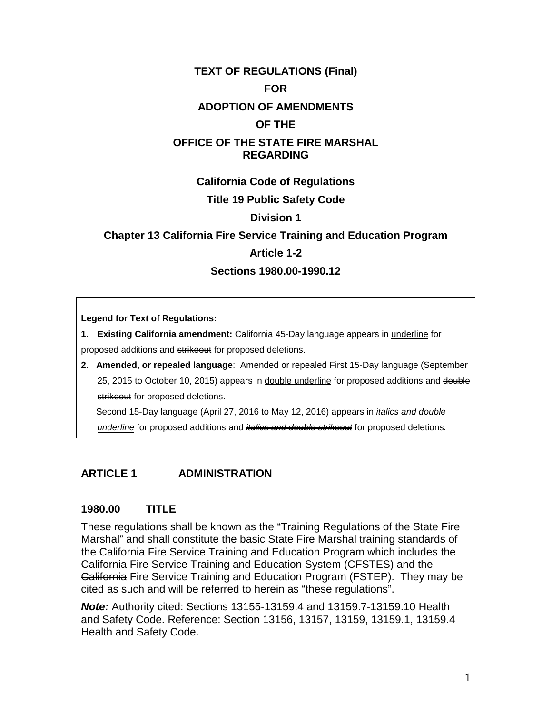# **TEXT OF REGULATIONS (Final) FOR ADOPTION OF AMENDMENTS OF THE OFFICE OF THE STATE FIRE MARSHAL REGARDING**

**California Code of Regulations**

#### **Title 19 Public Safety Code**

#### **Division 1**

# **Chapter 13 California Fire Service Training and Education Program Article 1-2**

#### **Sections 1980.00-1990.12**

**Legend for Text of Regulations:**

**1. Existing California amendment:** California 45-Day language appears in underline for proposed additions and strikeout for proposed deletions.

**2. Amended, or repealed language**: Amended or repealed First 15-Day language (September 25, 2015 to October 10, 2015) appears in double underline for proposed additions and double strikeout for proposed deletions.

Second 15-Day language (April 27, 2016 to May 12, 2016) appears in *italics and double underline* for proposed additions and *italics and double strikeout* for proposed deletions*.*

## **ARTICLE 1 ADMINISTRATION**

## **1980.00 TITLE**

These regulations shall be known as the "Training Regulations of the State Fire Marshal" and shall constitute the basic State Fire Marshal training standards of the California Fire Service Training and Education Program which includes the California Fire Service Training and Education System (CFSTES) and the California Fire Service Training and Education Program (FSTEP). They may be cited as such and will be referred to herein as "these regulations".

*Note:* Authority cited: Sections 13155-13159.4 and 13159.7-13159.10 Health and Safety Code. Reference: Section 13156, 13157, 13159, 13159.1, 13159.4 Health and Safety Code.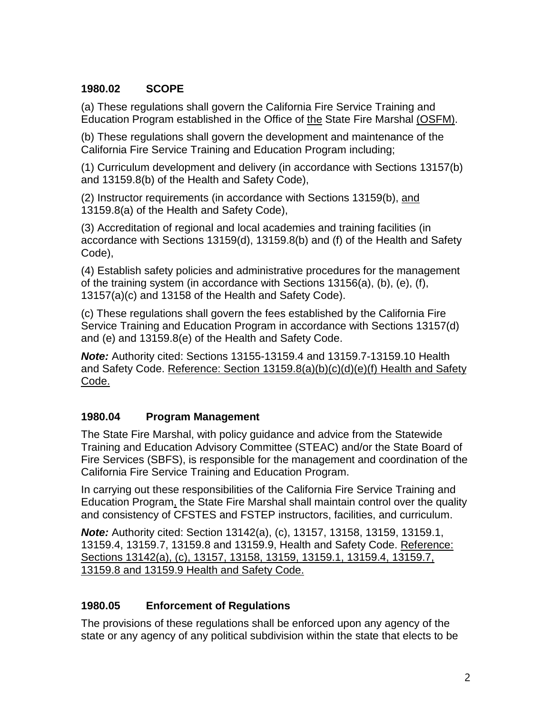## **1980.02 SCOPE**

(a) These regulations shall govern the California Fire Service Training and Education Program established in the Office of the State Fire Marshal (OSFM).

(b) These regulations shall govern the development and maintenance of the California Fire Service Training and Education Program including;

(1) Curriculum development and delivery (in accordance with Sections 13157(b) and 13159.8(b) of the Health and Safety Code),

(2) Instructor requirements (in accordance with Sections 13159(b), and 13159.8(a) of the Health and Safety Code),

(3) Accreditation of regional and local academies and training facilities (in accordance with Sections 13159(d), 13159.8(b) and (f) of the Health and Safety Code),

(4) Establish safety policies and administrative procedures for the management of the training system (in accordance with Sections 13156(a), (b), (e), (f), 13157(a)(c) and 13158 of the Health and Safety Code).

(c) These regulations shall govern the fees established by the California Fire Service Training and Education Program in accordance with Sections 13157(d) and (e) and 13159.8(e) of the Health and Safety Code.

*Note:* Authority cited: Sections 13155-13159.4 and 13159.7-13159.10 Health and Safety Code. Reference: Section 13159.8(a)(b)(c)(d)(e)(f) Health and Safety Code.

# **1980.04 Program Management**

The State Fire Marshal, with policy guidance and advice from the Statewide Training and Education Advisory Committee (STEAC) and/or the State Board of Fire Services (SBFS), is responsible for the management and coordination of the California Fire Service Training and Education Program.

In carrying out these responsibilities of the California Fire Service Training and Education Program, the State Fire Marshal shall maintain control over the quality and consistency of CFSTES and FSTEP instructors, facilities, and curriculum.

*Note:* Authority cited: Section 13142(a), (c), 13157, 13158, 13159, 13159.1, 13159.4, 13159.7, 13159.8 and 13159.9, Health and Safety Code. Reference: Sections 13142(a), (c), 13157, 13158, 13159, 13159.1, 13159.4, 13159.7, 13159.8 and 13159.9 Health and Safety Code.

# **1980.05 Enforcement of Regulations**

The provisions of these regulations shall be enforced upon any agency of the state or any agency of any political subdivision within the state that elects to be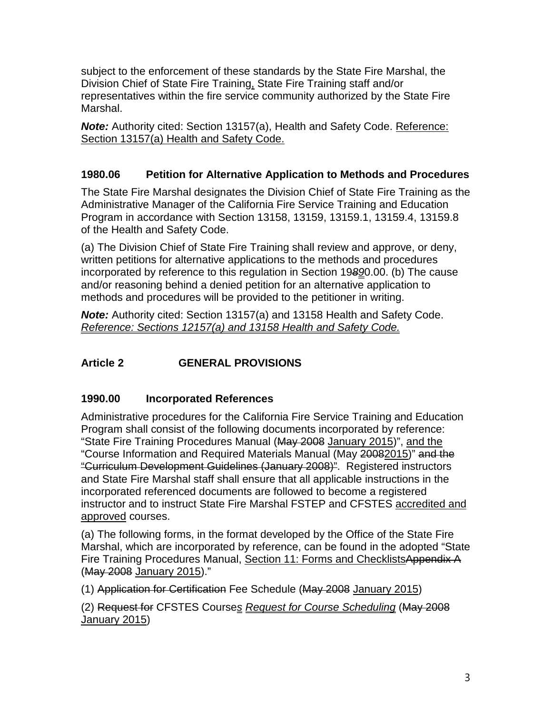subject to the enforcement of these standards by the State Fire Marshal, the Division Chief of State Fire Training, State Fire Training staff and/or representatives within the fire service community authorized by the State Fire Marshal.

*Note:* Authority cited: Section 13157(a), Health and Safety Code. Reference: Section 13157(a) Health and Safety Code.

# **1980.06 Petition for Alternative Application to Methods and Procedures**

The State Fire Marshal designates the Division Chief of State Fire Training as the Administrative Manager of the California Fire Service Training and Education Program in accordance with Section 13158, 13159, 13159.1, 13159.4, 13159.8 of the Health and Safety Code.

(a) The Division Chief of State Fire Training shall review and approve, or deny, written petitions for alternative applications to the methods and procedures incorporated by reference to this regulation in Section 19*89*0.00. (b) The cause and/or reasoning behind a denied petition for an alternative application to methods and procedures will be provided to the petitioner in writing.

*Note:* Authority cited: Section 13157(a) and 13158 Health and Safety Code. *Reference: Sections 12157(a) and 13158 Health and Safety Code.*

# **Article 2 GENERAL PROVISIONS**

## **1990.00 Incorporated References**

Administrative procedures for the California Fire Service Training and Education Program shall consist of the following documents incorporated by reference: "State Fire Training Procedures Manual (May 2008 January 2015)", and the "Course Information and Required Materials Manual (May 20082015)" and the "Curriculum Development Guidelines (January 2008)". Registered instructors and State Fire Marshal staff shall ensure that all applicable instructions in the incorporated referenced documents are followed to become a registered instructor and to instruct State Fire Marshal FSTEP and CFSTES accredited and approved courses.

(a) The following forms, in the format developed by the Office of the State Fire Marshal, which are incorporated by reference, can be found in the adopted "State Fire Training Procedures Manual, Section 11: Forms and ChecklistsAppendix A (May 2008 January 2015)."

(1) Application for Certification Fee Schedule (May 2008 January 2015)

(2) Request for CFSTES Course*s Request for Course Scheduling* (May 2008 January 2015)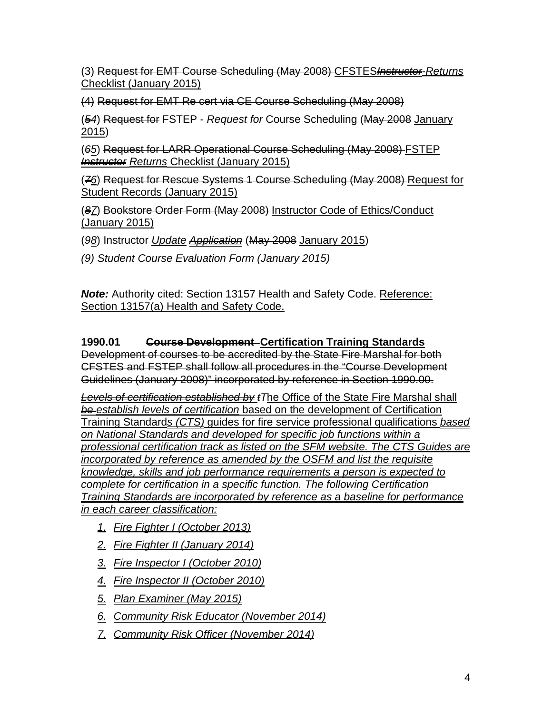(3) Request for EMT Course Scheduling (May 2008) CFSTES*Instructor*-*Returns* Checklist (January 2015)

(4) Request for EMT Re cert via CE Course Scheduling (May 2008)

(*54*) Request for FSTEP - *Request for* Course Scheduling (May 2008 January 2015)

(*65*) Request for LARR Operational Course Scheduling (May 2008) FSTEP *Instructor Returns* Checklist (January 2015)

(*76*) Request for Rescue Systems 1 Course Scheduling (May 2008) Request for Student Records (January 2015)

(*87*) Bookstore Order Form (May 2008) Instructor Code of Ethics/Conduct (January 2015)

(*98*) Instructor *Update Application* (May 2008 January 2015)

*(9) Student Course Evaluation Form (January 2015)*

*Note:* Authority cited: Section 13157 Health and Safety Code. Reference: Section 13157(a) Health and Safety Code.

# **1990.01 Course Development Certification Training Standards**

Development of courses to be accredited by the State Fire Marshal for both CFSTES and FSTEP shall follow all procedures in the "Course Development Guidelines (January 2008)" incorporated by reference in Section 1990.00.

*Levels of certification established by tT*he Office of the State Fire Marshal shall *be establish levels of certification* based on the development of Certification Training Standard*s (CTS)* guides for fire service professional qualifications *based on National Standards and developed for specific job functions within a professional certification track as listed on the SFM website. The CTS Guides are incorporated by reference as amended by the OSFM and list the requisite knowledge, skills and job performance requirements a person is expected to complete for certification in a specific function. The following Certification Training Standards are incorporated by reference as a baseline for performance in each career classification:*

- *1. Fire Fighter I (October 2013)*
- *2. Fire Fighter II (January 2014)*
- *3. Fire Inspector I (October 2010)*
- *4. Fire Inspector II (October 2010)*
- *5. Plan Examiner (May 2015)*
- *6. Community Risk Educator (November 2014)*
- *7. Community Risk Officer (November 2014)*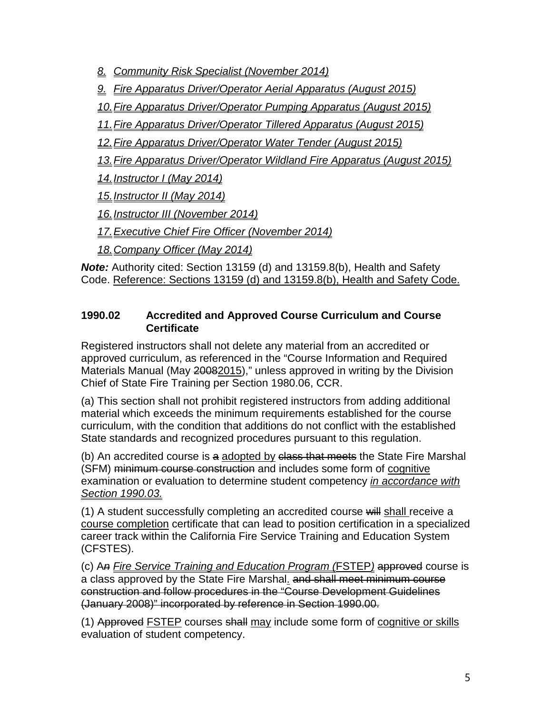*8. Community Risk Specialist (November 2014)* 

*9. Fire Apparatus Driver/Operator Aerial Apparatus (August 2015)*

*10.Fire Apparatus Driver/Operator Pumping Apparatus (August 2015)*

*11.Fire Apparatus Driver/Operator Tillered Apparatus (August 2015)*

*12.Fire Apparatus Driver/Operator Water Tender (August 2015)*

*13.Fire Apparatus Driver/Operator Wildland Fire Apparatus (August 2015)*

*14.Instructor I (May 2014)*

*15.Instructor II (May 2014)*

*16.Instructor III (November 2014)*

*17.Executive Chief Fire Officer (November 2014)*

*18.Company Officer (May 2014)*

*Note:* Authority cited: Section 13159 (d) and 13159.8(b), Health and Safety Code. Reference: Sections 13159 (d) and 13159.8(b), Health and Safety Code.

## **1990.02 Accredited and Approved Course Curriculum and Course Certificate**

Registered instructors shall not delete any material from an accredited or approved curriculum, as referenced in the "Course Information and Required Materials Manual (May 20082015)," unless approved in writing by the Division Chief of State Fire Training per Section 1980.06, CCR.

(a) This section shall not prohibit registered instructors from adding additional material which exceeds the minimum requirements established for the course curriculum, with the condition that additions do not conflict with the established State standards and recognized procedures pursuant to this regulation.

(b) An accredited course is a adopted by class that meets the State Fire Marshal (SFM) minimum course construction and includes some form of cognitive examination or evaluation to determine student competency *in accordance with Section 1990.03.*

(1) A student successfully completing an accredited course will shall receive a course completion certificate that can lead to position certification in a specialized career track within the California Fire Service Training and Education System (CFSTES).

(c) A*n Fire Service Training and Education Program (*FSTEP*)* approved course is a class approved by the State Fire Marshal. and shall meet minimum course construction and follow procedures in the "Course Development Guidelines (January 2008)" incorporated by reference in Section 1990.00.

(1) Approved FSTEP courses shall may include some form of cognitive or skills evaluation of student competency.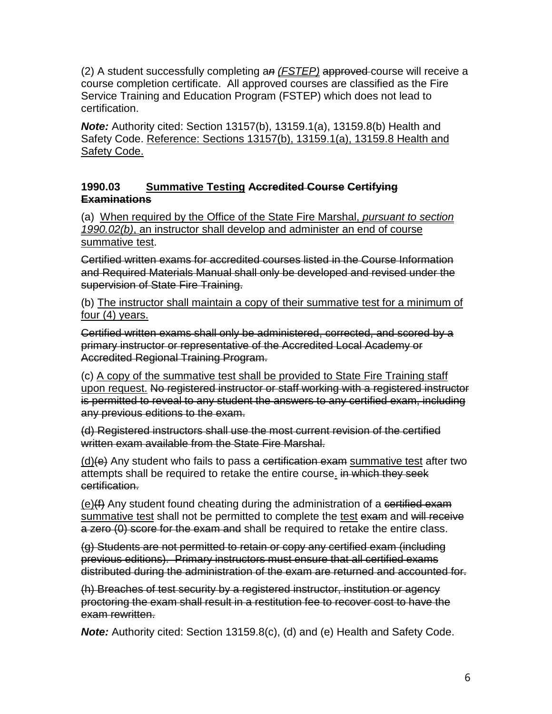(2) A student successfully completing a*n (FSTEP)* approved course will receive a course completion certificate. All approved courses are classified as the Fire Service Training and Education Program (FSTEP) which does not lead to certification.

*Note:* Authority cited: Section 13157(b), 13159.1(a), 13159.8(b) Health and Safety Code. Reference: Sections 13157(b), 13159.1(a), 13159.8 Health and Safety Code.

#### **1990.03 Summative Testing Accredited Course Certifying Examinations**

(a) When required by the Office of the State Fire Marshal, *pursuant to section 1990.02(b)*, an instructor shall develop and administer an end of course summative test.

Certified written exams for accredited courses listed in the Course Information and Required Materials Manual shall only be developed and revised under the supervision of State Fire Training.

(b) The instructor shall maintain a copy of their summative test for a minimum of four (4) years.

Certified written exams shall only be administered, corrected, and scored by a primary instructor or representative of the Accredited Local Academy or Accredited Regional Training Program.

(c) A copy of the summative test shall be provided to State Fire Training staff upon request. No registered instructor or staff working with a registered instructor is permitted to reveal to any student the answers to any certified exam, including any previous editions to the exam.

(d) Registered instructors shall use the most current revision of the certified written exam available from the State Fire Marshal.

 $(d)(e)$  Any student who fails to pass a certification exam summative test after two attempts shall be required to retake the entire course. in which they seek certification.

 $(e)(f)$  Any student found cheating during the administration of a certified exam summative test shall not be permitted to complete the test exam and will receive a zero (0) score for the exam and shall be required to retake the entire class.

(g) Students are not permitted to retain or copy any certified exam (including previous editions). Primary instructors must ensure that all certified exams distributed during the administration of the exam are returned and accounted for.

(h) Breaches of test security by a registered instructor, institution or agency proctoring the exam shall result in a restitution fee to recover cost to have the exam rewritten.

*Note:* Authority cited: Section 13159.8(c), (d) and (e) Health and Safety Code.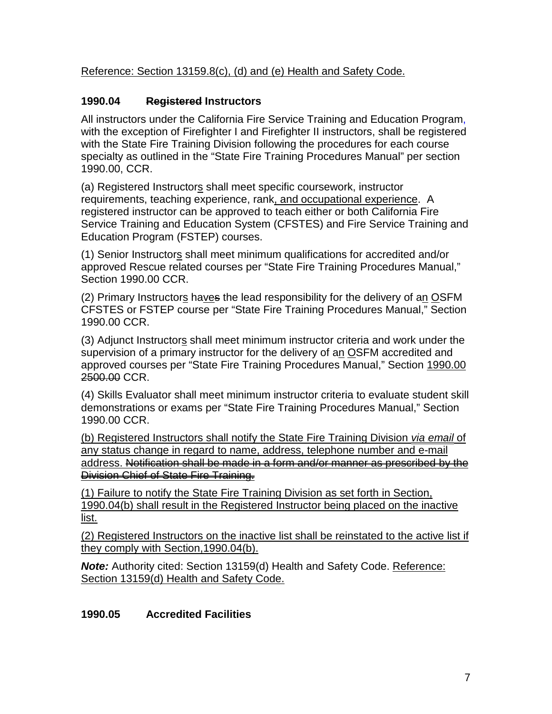Reference: Section 13159.8(c), (d) and (e) Health and Safety Code.

# **1990.04 Registered Instructors**

All instructors under the California Fire Service Training and Education Program, with the exception of Firefighter I and Firefighter II instructors, shall be registered with the State Fire Training Division following the procedures for each course specialty as outlined in the "State Fire Training Procedures Manual" per section 1990.00, CCR.

(a) Registered Instructors shall meet specific coursework, instructor requirements, teaching experience, rank, and occupational experience. A registered instructor can be approved to teach either or both California Fire Service Training and Education System (CFSTES) and Fire Service Training and Education Program (FSTEP) courses.

(1) Senior Instructors shall meet minimum qualifications for accredited and/or approved Rescue related courses per "State Fire Training Procedures Manual," Section 1990.00 CCR.

(2) Primary Instructors haves the lead responsibility for the delivery of an OSFM CFSTES or FSTEP course per "State Fire Training Procedures Manual," Section 1990.00 CCR.

(3) Adjunct Instructors shall meet minimum instructor criteria and work under the supervision of a primary instructor for the delivery of an OSFM accredited and approved courses per "State Fire Training Procedures Manual," Section 1990.00 2500.00 CCR.

(4) Skills Evaluator shall meet minimum instructor criteria to evaluate student skill demonstrations or exams per "State Fire Training Procedures Manual," Section 1990.00 CCR.

(b) Registered Instructors shall notify the State Fire Training Division *via email* of any status change in regard to name, address, telephone number and e-mail address. Notification shall be made in a form and/or manner as prescribed by the Division Chief of State Fire Training.

(1) Failure to notify the State Fire Training Division as set forth in Section, 1990.04(b) shall result in the Registered Instructor being placed on the inactive list.

(2) Registered Instructors on the inactive list shall be reinstated to the active list if they comply with Section,1990.04(b).

*Note:* Authority cited: Section 13159(d) Health and Safety Code. Reference: Section 13159(d) Health and Safety Code.

# **1990.05 Accredited Facilities**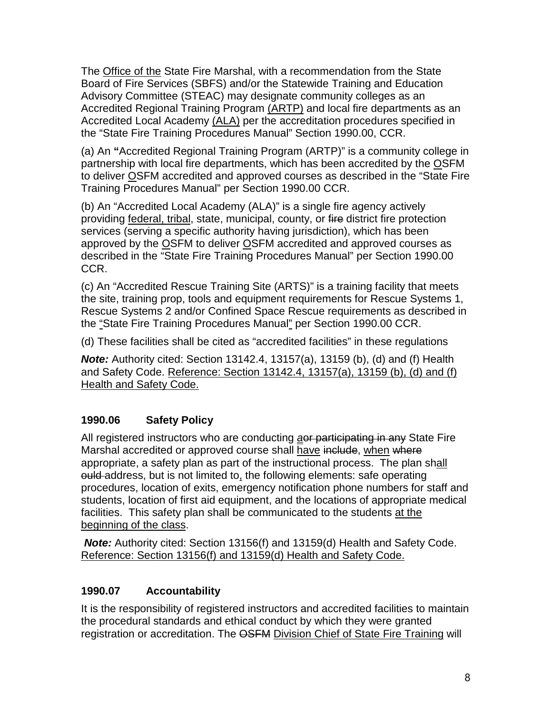The Office of the State Fire Marshal, with a recommendation from the State Board of Fire Services (SBFS) and/or the Statewide Training and Education Advisory Committee (STEAC) may designate community colleges as an Accredited Regional Training Program (ARTP) and local fire departments as an Accredited Local Academy (ALA) per the accreditation procedures specified in the "State Fire Training Procedures Manual" Section 1990.00, CCR.

(a) An **"**Accredited Regional Training Program (ARTP)" is a community college in partnership with local fire departments, which has been accredited by the OSFM to deliver OSFM accredited and approved courses as described in the "State Fire Training Procedures Manual" per Section 1990.00 CCR.

(b) An "Accredited Local Academy (ALA)" is a single fire agency actively providing federal, tribal, state, municipal, county, or fire district fire protection services (serving a specific authority having jurisdiction), which has been approved by the OSFM to deliver OSFM accredited and approved courses as described in the "State Fire Training Procedures Manual" per Section 1990.00 CCR.

(c) An "Accredited Rescue Training Site (ARTS)" is a training facility that meets the site, training prop, tools and equipment requirements for Rescue Systems 1, Rescue Systems 2 and/or Confined Space Rescue requirements as described in the "State Fire Training Procedures Manual" per Section 1990.00 CCR.

(d) These facilities shall be cited as "accredited facilities" in these regulations

*Note:* Authority cited: Section 13142.4, 13157(a), 13159 (b), (d) and (f) Health and Safety Code. Reference: Section 13142.4, 13157(a), 13159 (b), (d) and (f) Health and Safety Code.

# **1990.06 Safety Policy**

All registered instructors who are conducting *a*or participating in any State Fire Marshal accredited or approved course shall have include, when where appropriate, a safety plan as part of the instructional process. The plan shall ould address, but is not limited to, the following elements: safe operating procedures, location of exits, emergency notification phone numbers for staff and students, location of first aid equipment, and the locations of appropriate medical facilities. This safety plan shall be communicated to the students at the beginning of the class.

*Note:* Authority cited: Section 13156(f) and 13159(d) Health and Safety Code. Reference: Section 13156(f) and 13159(d) Health and Safety Code.

# **1990.07 Accountability**

It is the responsibility of registered instructors and accredited facilities to maintain the procedural standards and ethical conduct by which they were granted registration or accreditation. The OSFM Division Chief of State Fire Training will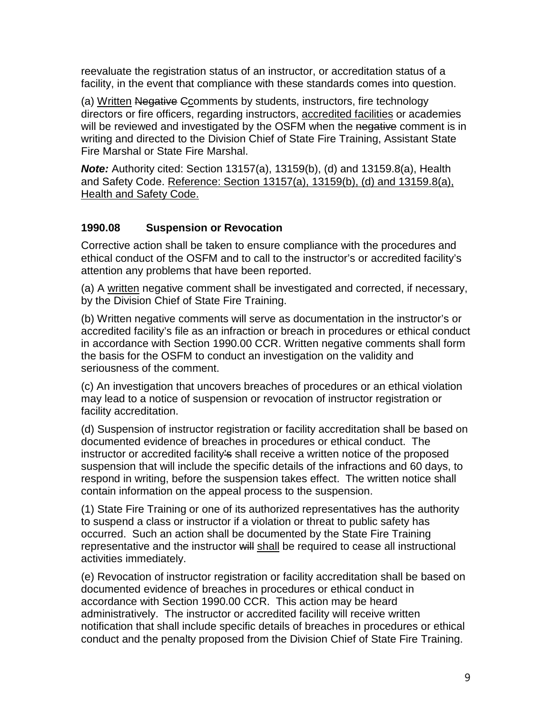reevaluate the registration status of an instructor, or accreditation status of a facility, in the event that compliance with these standards comes into question.

(a) Written Negative Ccomments by students, instructors, fire technology directors or fire officers, regarding instructors, accredited facilities or academies will be reviewed and investigated by the OSFM when the negative comment is in writing and directed to the Division Chief of State Fire Training, Assistant State Fire Marshal or State Fire Marshal.

*Note:* Authority cited: Section 13157(a), 13159(b), (d) and 13159.8(a), Health and Safety Code. Reference: Section 13157(a), 13159(b), (d) and 13159.8(a), Health and Safety Code.

## **1990.08 Suspension or Revocation**

Corrective action shall be taken to ensure compliance with the procedures and ethical conduct of the OSFM and to call to the instructor's or accredited facility's attention any problems that have been reported.

(a) A written negative comment shall be investigated and corrected, if necessary, by the Division Chief of State Fire Training.

(b) Written negative comments will serve as documentation in the instructor's or accredited facility's file as an infraction or breach in procedures or ethical conduct in accordance with Section 1990.00 CCR. Written negative comments shall form the basis for the OSFM to conduct an investigation on the validity and seriousness of the comment.

(c) An investigation that uncovers breaches of procedures or an ethical violation may lead to a notice of suspension or revocation of instructor registration or facility accreditation.

(d) Suspension of instructor registration or facility accreditation shall be based on documented evidence of breaches in procedures or ethical conduct. The instructor or accredited facility's shall receive a written notice of the proposed suspension that will include the specific details of the infractions and 60 days, to respond in writing, before the suspension takes effect. The written notice shall contain information on the appeal process to the suspension.

(1) State Fire Training or one of its authorized representatives has the authority to suspend a class or instructor if a violation or threat to public safety has occurred. Such an action shall be documented by the State Fire Training representative and the instructor will shall be required to cease all instructional activities immediately.

(e) Revocation of instructor registration or facility accreditation shall be based on documented evidence of breaches in procedures or ethical conduct in accordance with Section 1990.00 CCR. This action may be heard administratively. The instructor or accredited facility will receive written notification that shall include specific details of breaches in procedures or ethical conduct and the penalty proposed from the Division Chief of State Fire Training.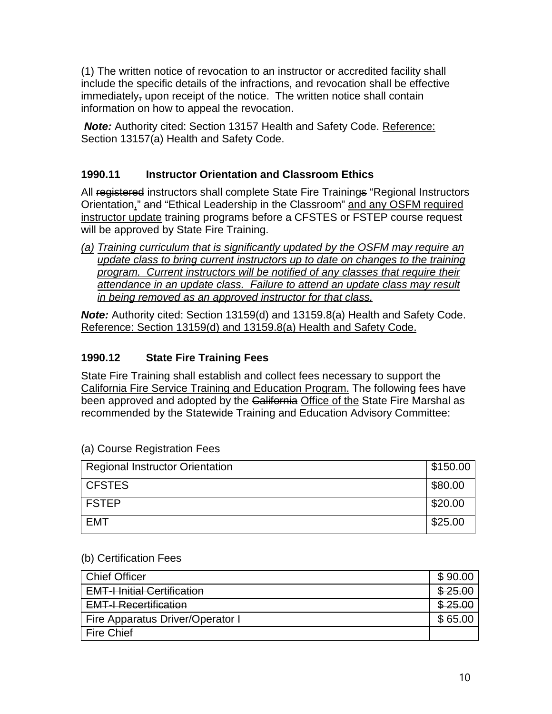(1) The written notice of revocation to an instructor or accredited facility shall include the specific details of the infractions, and revocation shall be effective immediately, upon receipt of the notice. The written notice shall contain information on how to appeal the revocation.

*Note:* Authority cited: Section 13157 Health and Safety Code. Reference: Section 13157(a) Health and Safety Code.

# **1990.11 Instructor Orientation and Classroom Ethics**

All registered instructors shall complete State Fire Trainings "Regional Instructors Orientation," and "Ethical Leadership in the Classroom" and any OSFM required instructor update training programs before a CFSTES or FSTEP course request will be approved by State Fire Training.

*(a) Training curriculum that is significantly updated by the OSFM may require an update class to bring current instructors up to date on changes to the training program. Current instructors will be notified of any classes that require their attendance in an update class. Failure to attend an update class may result in being removed as an approved instructor for that class.* 

*Note:* Authority cited: Section 13159(d) and 13159.8(a) Health and Safety Code. Reference: Section 13159(d) and 13159.8(a) Health and Safety Code.

## **1990.12 State Fire Training Fees**

State Fire Training shall establish and collect fees necessary to support the California Fire Service Training and Education Program. The following fees have been approved and adopted by the California Office of the State Fire Marshal as recommended by the Statewide Training and Education Advisory Committee:

| <b>Regional Instructor Orientation</b> | \$150.00 |
|----------------------------------------|----------|
| <b>CFSTES</b>                          | \$80.00  |
| <b>FSTEP</b>                           | \$20.00  |
| <b>EMT</b>                             | \$25.00  |

#### (a) Course Registration Fees

#### (b) Certification Fees

| <b>Chief Officer</b>               | \$90.00          |
|------------------------------------|------------------|
| <b>EMT-I Initial Certification</b> | <del>25.00</del> |
| <b>EMT-I Recertification</b>       |                  |
| Fire Apparatus Driver/Operator I   | 65.00            |
| <b>Fire Chief</b>                  |                  |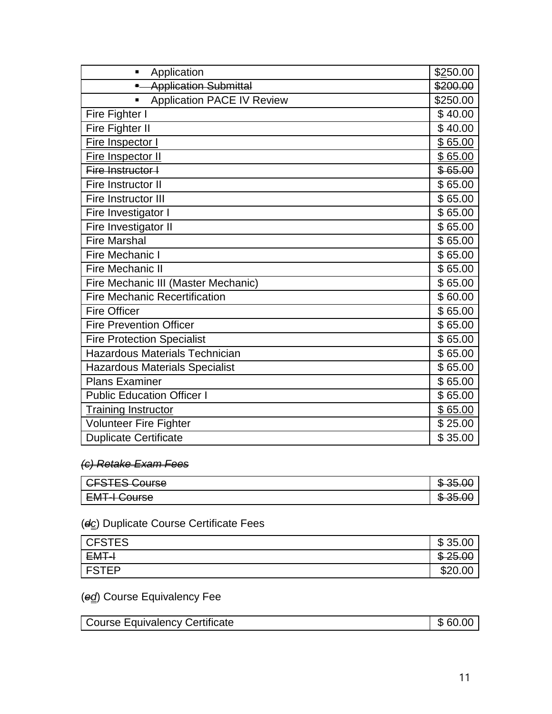| Application<br>$\blacksquare$          | \$250.00 |
|----------------------------------------|----------|
| <b>Application Submittal</b>           | \$200.00 |
| <b>Application PACE IV Review</b><br>٠ | \$250.00 |
| Fire Fighter I                         | \$40.00  |
| Fire Fighter II                        | \$40.00  |
| Fire Inspector I                       | \$65.00  |
| Fire Inspector II                      | \$65.00  |
| Fire Instructor I                      | \$65.00  |
| Fire Instructor II                     | \$65.00  |
| <b>Fire Instructor III</b>             | \$65.00  |
| Fire Investigator I                    | \$65.00  |
| Fire Investigator II                   | \$65.00  |
| <b>Fire Marshal</b>                    | \$65.00  |
| <b>Fire Mechanic I</b>                 | \$65.00  |
| Fire Mechanic II                       | \$65.00  |
| Fire Mechanic III (Master Mechanic)    | \$65.00  |
| <b>Fire Mechanic Recertification</b>   | \$60.00  |
| <b>Fire Officer</b>                    | \$65.00  |
| <b>Fire Prevention Officer</b>         | \$65.00  |
| <b>Fire Protection Specialist</b>      | \$65.00  |
| <b>Hazardous Materials Technician</b>  | \$65.00  |
| <b>Hazardous Materials Specialist</b>  | \$65.00  |
| <b>Plans Examiner</b>                  | \$65.00  |
| <b>Public Education Officer I</b>      | \$65.00  |
| <b>Training Instructor</b>             | \$65.00  |
| Volunteer Fire Fighter                 | \$25.00  |
| <b>Duplicate Certificate</b>           | \$35.00  |

## *(c) Retake Exam Fees*

| $\cap$                                              | æ                     |
|-----------------------------------------------------|-----------------------|
| $\bigcap$                                           | <del>vo.oo</del>      |
| <del>oroneo oourse</del>                            | w                     |
| $\bigcap$ ire $\bigcap$<br><del>Livi i vouloc</del> | m<br><del></del><br>w |

# (*dc*) Duplicate Course Certificate Fees

| <b>CFSTES</b> | ௱<br>35.<br>.OC<br>D          |
|---------------|-------------------------------|
| EMT-I         | ൈ<br>つに<br><del>ত ∠ত.তত</del> |
| <b>FSTEP</b>  | നറ<br>ט∠ס                     |

# (*ed*) Course Equivalency Fee

| Course Equivalency Certificate | \$60.00 |
|--------------------------------|---------|
|                                |         |